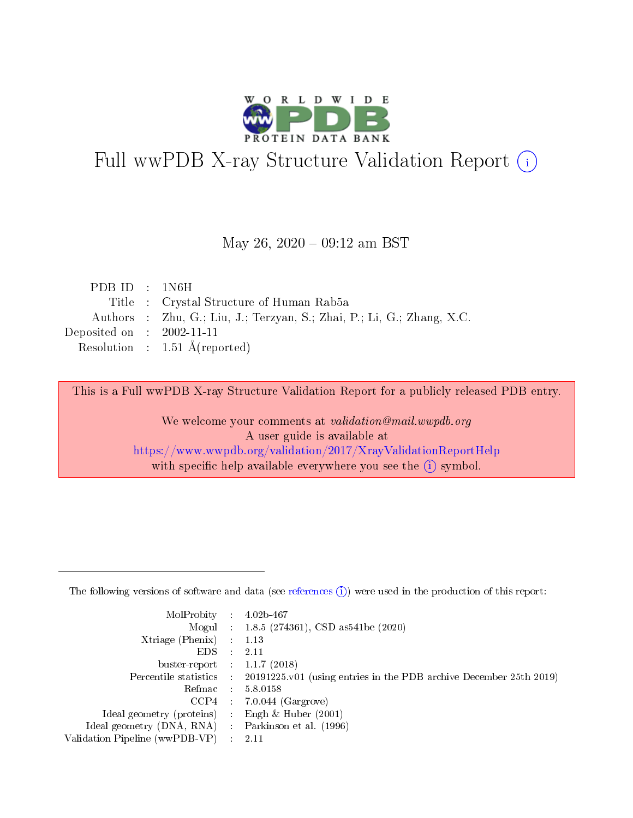

# Full wwPDB X-ray Structure Validation Report (i)

#### May 26,  $2020 - 09:12$  am BST

| PDB ID $\pm$ 1N6H           |                                                                        |
|-----------------------------|------------------------------------------------------------------------|
|                             | Title: Crystal Structure of Human Rab5a                                |
|                             | Authors : Zhu, G.; Liu, J.; Terzyan, S.; Zhai, P.; Li, G.; Zhang, X.C. |
| Deposited on : $2002-11-11$ |                                                                        |
|                             | Resolution : $1.51 \text{ Å}$ (reported)                               |

This is a Full wwPDB X-ray Structure Validation Report for a publicly released PDB entry.

We welcome your comments at validation@mail.wwpdb.org A user guide is available at <https://www.wwpdb.org/validation/2017/XrayValidationReportHelp> with specific help available everywhere you see the  $(i)$  symbol.

The following versions of software and data (see [references](https://www.wwpdb.org/validation/2017/XrayValidationReportHelp#references)  $(1)$ ) were used in the production of this report:

| MolProbity :                   |               | $4.02b - 467$                                                               |
|--------------------------------|---------------|-----------------------------------------------------------------------------|
|                                |               | Mogul : $1.8.5$ (274361), CSD as 541be (2020)                               |
| $X$ triage (Phenix) :          |               | 1.13                                                                        |
| EDS.                           |               | 2.11                                                                        |
| buster-report : $1.1.7$ (2018) |               |                                                                             |
| Percentile statistics :        |               | $20191225 \text{v}01$ (using entries in the PDB archive December 25th 2019) |
| Refmac :                       |               | 5.8.0158                                                                    |
| $CCP4$ :                       |               | $7.0.044$ (Gargrove)                                                        |
| Ideal geometry (proteins) :    |               | Engh $\&$ Huber (2001)                                                      |
| Ideal geometry (DNA, RNA) :    |               | Parkinson et al. (1996)                                                     |
| Validation Pipeline (wwPDB-VP) | $\mathcal{L}$ | 2.11                                                                        |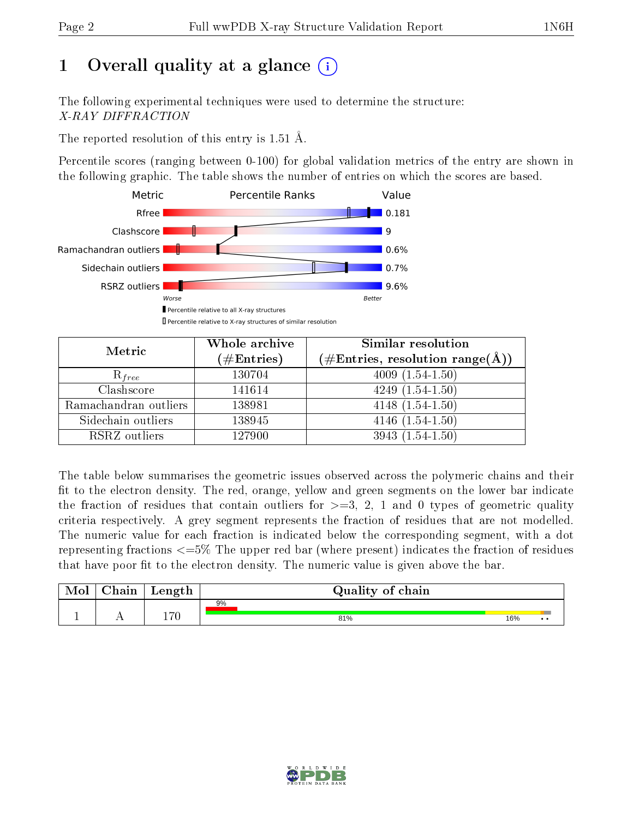# 1 [O](https://www.wwpdb.org/validation/2017/XrayValidationReportHelp#overall_quality)verall quality at a glance  $(i)$

The following experimental techniques were used to determine the structure: X-RAY DIFFRACTION

The reported resolution of this entry is 1.51 Å.

Percentile scores (ranging between 0-100) for global validation metrics of the entry are shown in the following graphic. The table shows the number of entries on which the scores are based.



| Metric                | Whole archive<br>$(\#\text{Entries})$ | Similar resolution<br>$(\#\text{Entries},\,\text{resolution}\,\,\text{range}(\textup{\AA}))$ |
|-----------------------|---------------------------------------|----------------------------------------------------------------------------------------------|
| $R_{free}$            | 130704                                | $4009(1.54-1.50)$                                                                            |
| Clashscore            | 141614                                | $4249(1.54-1.50)$                                                                            |
| Ramachandran outliers | 138981                                | $4148(1.54-1.50)$                                                                            |
| Sidechain outliers    | 138945                                | $4146(1.54-1.50)$                                                                            |
| RSRZ outliers         | 127900                                | $3943(1.54-1.50)$                                                                            |

The table below summarises the geometric issues observed across the polymeric chains and their fit to the electron density. The red, orange, yellow and green segments on the lower bar indicate the fraction of residues that contain outliers for  $>=3, 2, 1$  and 0 types of geometric quality criteria respectively. A grey segment represents the fraction of residues that are not modelled. The numeric value for each fraction is indicated below the corresponding segment, with a dot representing fractions <=5% The upper red bar (where present) indicates the fraction of residues that have poor fit to the electron density. The numeric value is given above the bar.

| Mol | $\cap$ hain | Length | Quality of chain |     |              |
|-----|-------------|--------|------------------|-----|--------------|
|     |             |        | 9%               |     |              |
|     |             | מים ו  | 81%              | 16% | $\cdot\cdot$ |

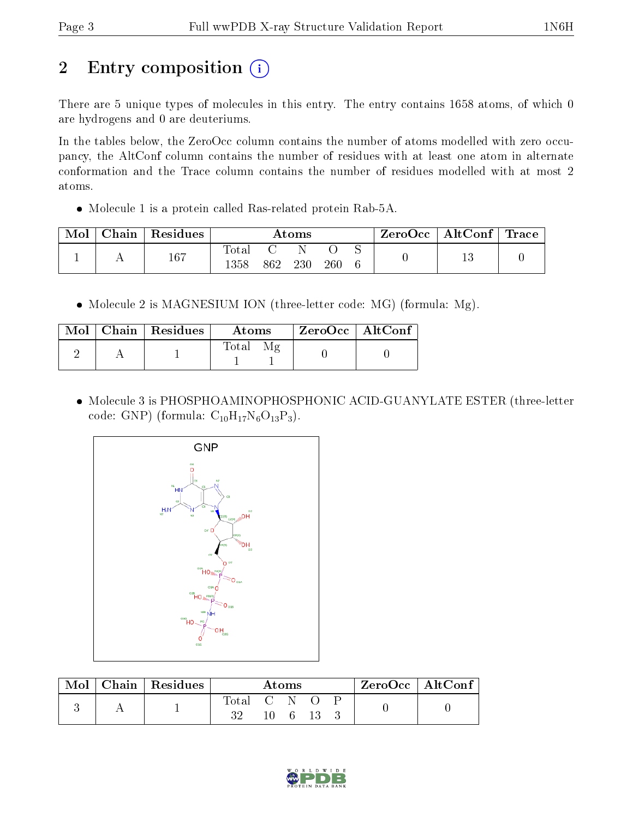# 2 Entry composition (i)

There are 5 unique types of molecules in this entry. The entry contains 1658 atoms, of which 0 are hydrogens and 0 are deuteriums.

In the tables below, the ZeroOcc column contains the number of atoms modelled with zero occupancy, the AltConf column contains the number of residues with at least one atom in alternate conformation and the Trace column contains the number of residues modelled with at most 2 atoms.

Molecule 1 is a protein called Ras-related protein Rab-5A.

| Mol | $Chain   Residues$ | Atoms                   |     |     |     |  | $\text{ZeroOcc} \mid \text{AltConf} \mid \text{Trace}$ |  |
|-----|--------------------|-------------------------|-----|-----|-----|--|--------------------------------------------------------|--|
|     | 167                | $\rm Total$<br>$1358\,$ | 862 | 230 | 260 |  |                                                        |  |

• Molecule 2 is MAGNESIUM ION (three-letter code: MG) (formula: Mg).

|  | $\text{Mol}$   Chain   Residues | <b>Atoms</b> | ZeroOcc   AltConf |
|--|---------------------------------|--------------|-------------------|
|  |                                 | $\rm Total$  |                   |

 Molecule 3 is PHOSPHOAMINOPHOSPHONIC ACID-GUANYLATE ESTER (three-letter code: GNP) (formula:  $C_{10}H_{17}N_6O_{13}P_3$ ).



| Mol | Chain   Residues | Atoms       |  |  |  | $\rm ZeroOcc$   Alt $\rm Conf$ |  |  |
|-----|------------------|-------------|--|--|--|--------------------------------|--|--|
|     |                  | Total C N = |  |  |  |                                |  |  |
|     |                  | 32          |  |  |  |                                |  |  |

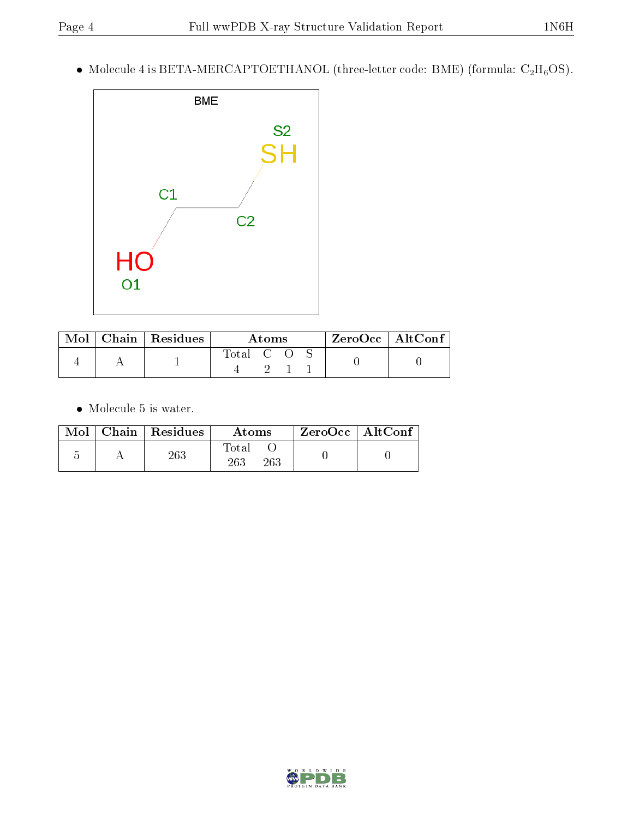$\bullet$  Molecule 4 is BETA-MERCAPTOETHANOL (three-letter code: BME) (formula: C<sub>2</sub>H<sub>6</sub>OS).



| Mol | $\vert$ Chain $\vert$ Residues | Atoms     |  |  | $^{\shortmid}$ ZeroOcc $\mid$ AltConf $^{\shortmid}$ |  |
|-----|--------------------------------|-----------|--|--|------------------------------------------------------|--|
|     |                                | Total C O |  |  |                                                      |  |

 $\bullet\,$  Molecule 5 is water.

| Mol | Chain   Residues | Atoms               | ZeroOcc   AltConf |
|-----|------------------|---------------------|-------------------|
|     | 263              | Total<br>263<br>263 |                   |

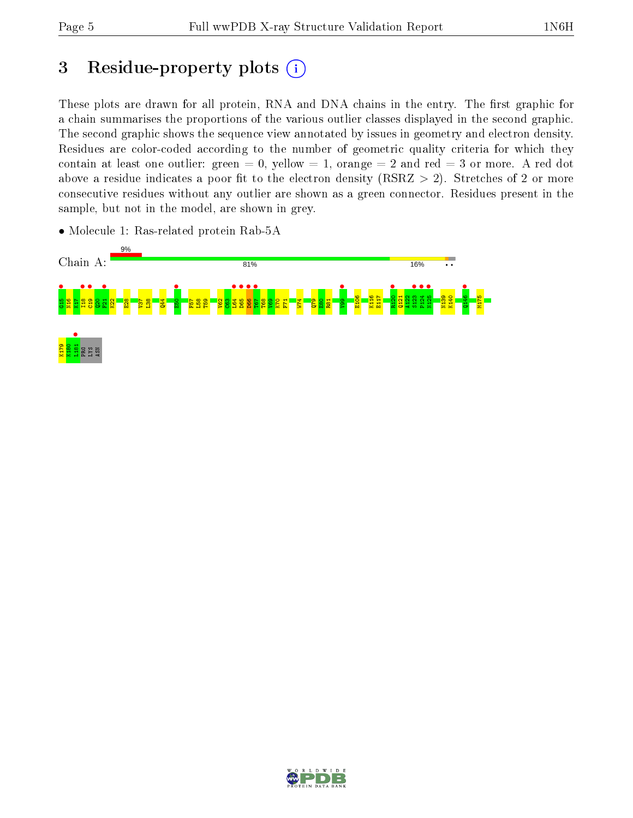## 3 Residue-property plots  $(i)$

These plots are drawn for all protein, RNA and DNA chains in the entry. The first graphic for a chain summarises the proportions of the various outlier classes displayed in the second graphic. The second graphic shows the sequence view annotated by issues in geometry and electron density. Residues are color-coded according to the number of geometric quality criteria for which they contain at least one outlier: green  $= 0$ , yellow  $= 1$ , orange  $= 2$  and red  $= 3$  or more. A red dot above a residue indicates a poor fit to the electron density (RSRZ  $> 2$ ). Stretches of 2 or more consecutive residues without any outlier are shown as a green connector. Residues present in the sample, but not in the model, are shown in grey.



• Molecule 1: Ras-related protein Rab-5A

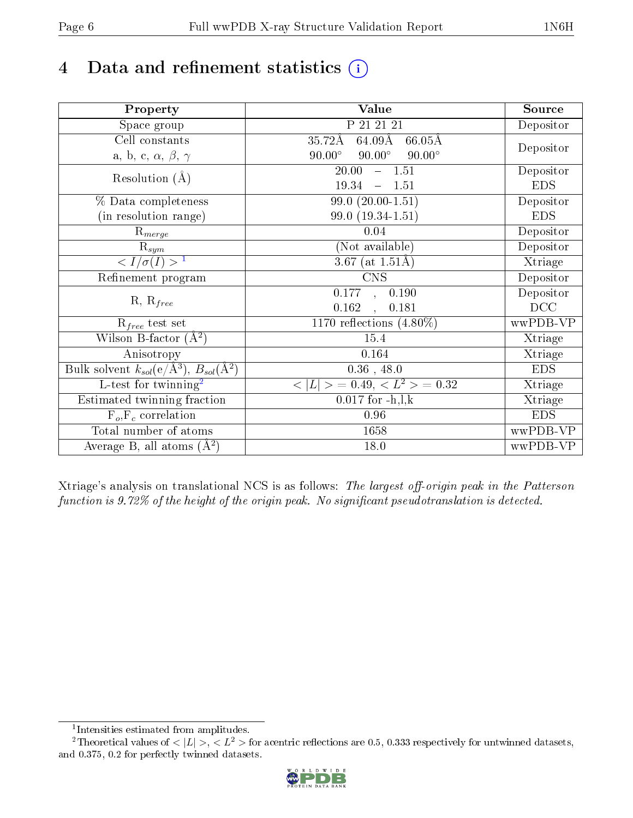# 4 Data and refinement statistics  $(i)$

| Property                                                   | Value                                                       | Source     |
|------------------------------------------------------------|-------------------------------------------------------------|------------|
| Space group                                                | P 21 21 21                                                  | Depositor  |
| Cell constants                                             | $35.72\text{\AA}$<br>$64.09\text{\AA}$<br>$66.05\text{\AA}$ |            |
| a, b, c, $\alpha$ , $\beta$ , $\gamma$                     | $90.00^\circ$<br>$90.00^\circ$<br>$90.00^\circ$             | Depositor  |
| Resolution $(A)$                                           | 20.00<br>$-1.51$                                            | Depositor  |
|                                                            | 19.34<br>1.51<br>$\equiv$                                   | <b>EDS</b> |
| % Data completeness                                        | $99.0(20.00-1.51)$                                          | Depositor  |
| (in resolution range)                                      | 99.0 (19.34-1.51)                                           | <b>EDS</b> |
| $R_{merge}$                                                | 0.04                                                        | Depositor  |
| $\mathrm{R}_{sym}$                                         | (Not available)                                             | Depositor  |
| $\langle I/\sigma(I) \rangle^{-1}$                         | 3.67 (at $1.51\text{\AA})$                                  | Xtriage    |
| Refinement program                                         | <b>CNS</b>                                                  | Depositor  |
|                                                            | 0.177<br>0.190<br>$\mathbf{r}$                              | Depositor  |
| $R, R_{free}$                                              | 0.162<br>0.181<br>$\ddot{\phantom{a}}$                      | DCC        |
| $R_{free}$ test set                                        | 1170 reflections $(4.80\%)$                                 | wwPDB-VP   |
| Wilson B-factor $(A^2)$                                    | 15.4                                                        | Xtriage    |
| Anisotropy                                                 | 0.164                                                       | Xtriage    |
| Bulk solvent $k_{sol}$ (e/Å <sup>3</sup> ), $B_{sol}(A^2)$ | $0.36$ , 48.0                                               | <b>EDS</b> |
| $\overline{L-test for}$ twinning <sup>2</sup>              | $< L >$ = 0.49, $< L2$ = 0.32                               | Xtriage    |
| Estimated twinning fraction                                | $0.017$ for $-h, l, k$                                      | Xtriage    |
| $F_o, F_c$ correlation                                     | 0.96                                                        | <b>EDS</b> |
| Total number of atoms                                      | 1658                                                        | wwPDB-VP   |
| Average B, all atoms $(A^2)$                               | 18.0                                                        | wwPDB-VP   |

Xtriage's analysis on translational NCS is as follows: The largest off-origin peak in the Patterson function is  $9.72\%$  of the height of the origin peak. No significant pseudotranslation is detected.

<sup>&</sup>lt;sup>2</sup>Theoretical values of  $\langle |L| \rangle$ ,  $\langle L^2 \rangle$  for acentric reflections are 0.5, 0.333 respectively for untwinned datasets, and 0.375, 0.2 for perfectly twinned datasets.



<span id="page-5-1"></span><span id="page-5-0"></span><sup>1</sup> Intensities estimated from amplitudes.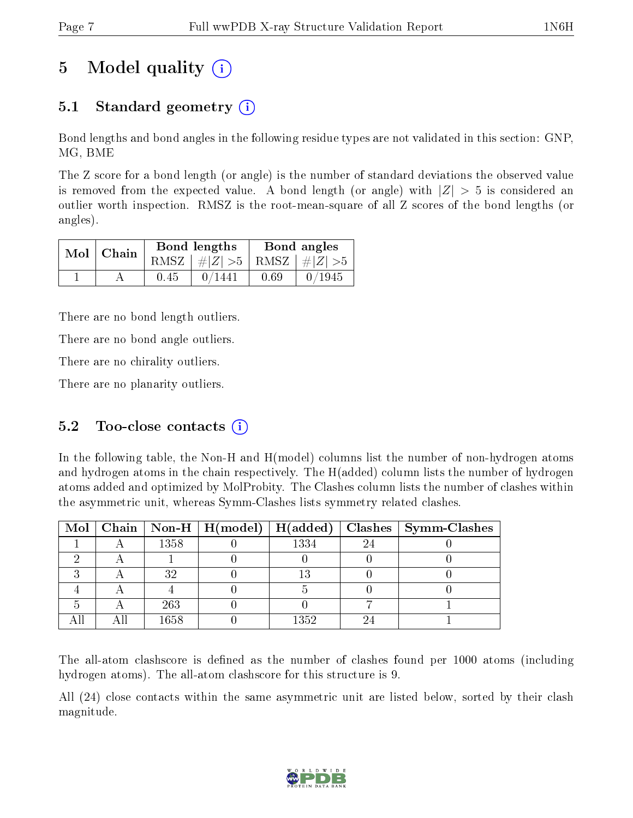# 5 Model quality  $(i)$

## 5.1 Standard geometry (i)

Bond lengths and bond angles in the following residue types are not validated in this section: GNP, MG, BME

The Z score for a bond length (or angle) is the number of standard deviations the observed value is removed from the expected value. A bond length (or angle) with  $|Z| > 5$  is considered an outlier worth inspection. RMSZ is the root-mean-square of all Z scores of the bond lengths (or angles).

| $Mol$   Chain |      | Bond lengths                    | Bond angles |        |  |
|---------------|------|---------------------------------|-------------|--------|--|
|               |      | RMSZ $ #Z  > 5$ RMSZ $ #Z  > 5$ |             |        |  |
|               | 0.45 | 0/1441                          | 0.69        | 0/1945 |  |

There are no bond length outliers.

There are no bond angle outliers.

There are no chirality outliers.

There are no planarity outliers.

### 5.2 Too-close contacts  $(i)$

In the following table, the Non-H and H(model) columns list the number of non-hydrogen atoms and hydrogen atoms in the chain respectively. The H(added) column lists the number of hydrogen atoms added and optimized by MolProbity. The Clashes column lists the number of clashes within the asymmetric unit, whereas Symm-Clashes lists symmetry related clashes.

|  |      |      |    | Mol   Chain   Non-H   H(model)   H(added)   Clashes   Symm-Clashes |
|--|------|------|----|--------------------------------------------------------------------|
|  | 1358 | 1334 | 24 |                                                                    |
|  |      |      |    |                                                                    |
|  | 32   |      |    |                                                                    |
|  |      |      |    |                                                                    |
|  | 263  |      |    |                                                                    |
|  | 1658 | 1352 |    |                                                                    |

The all-atom clashscore is defined as the number of clashes found per 1000 atoms (including hydrogen atoms). The all-atom clashscore for this structure is 9.

All (24) close contacts within the same asymmetric unit are listed below, sorted by their clash magnitude.

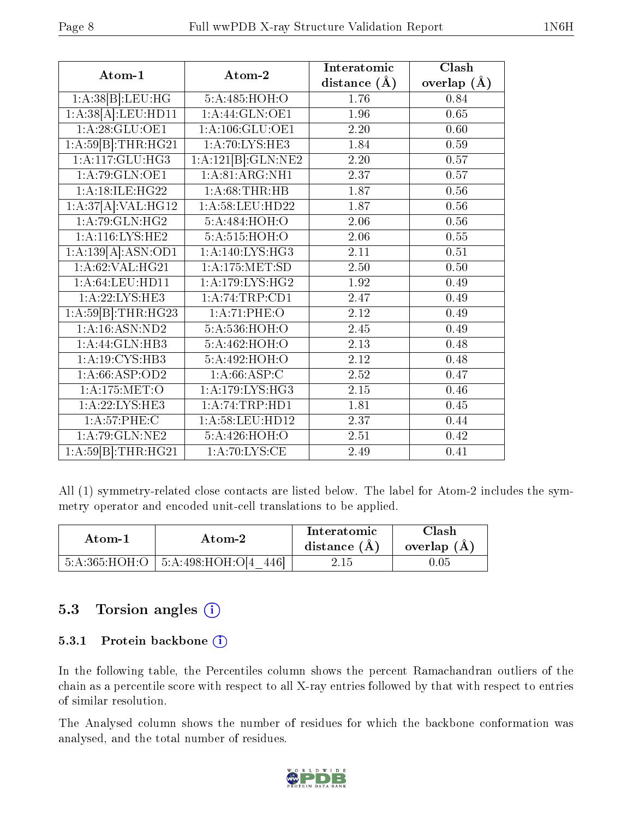| Atom-1                                                | Atom-2                      | Interatomic       | Clash         |
|-------------------------------------------------------|-----------------------------|-------------------|---------------|
|                                                       |                             | distance $(A)$    | overlap $(A)$ |
| 1:A:38[B]:LEU:HG                                      | 5:A:485:HOH:O               | 1.76              | 0.84          |
| 1:A:38[A]:LEU:HDI1                                    | $1:A:\overline{44:GLN:OE1}$ | 1.96              | 0.65          |
| 1: A:28: GLU:OE1                                      | 1: A:106: GLU:OE1           | 2.20              | 0.60          |
| 1:A:59[B]:THR:HG21                                    | 1:A:70:LYS:HE3              | 1.84              | 0.59          |
| 1: A:117: GLU: HG3                                    | 1:A:121[B]:GLN:NE2          | $\overline{2.20}$ | 0.57          |
| 1: A:79: GLN:OE1                                      | 1: A:81: ARG:NH1            | 2.37              | 0.57          |
| 1:A:18:ILE:HG22                                       | 1: A:68:THR:HB              | 1.87              | 0.56          |
| 1:A:37[A]:VAL:HG12                                    | 1: A:58: LEU: HD22          | 1.87              | $0.56\,$      |
| 1:A:79:GLN:HG2                                        | 5:A:484:HOH:O               | 2.06              | $0.56\,$      |
| 1: A:116: LYS: HE2                                    | 5: A:515: HOH:O             | $\overline{2.06}$ | 0.55          |
| 1:A:139[A]:ASN:OD1                                    | 1: A:140: LYS: HG3          | 2.11              | 0.51          |
| 1: A:62: VAL:HG21                                     | 1: A: 175: MET: SD          | 2.50              | 0.50          |
| 1: A:64:LEU:HD11                                      | 1: A:179: LYS: HG2          | 1.92              | 0.49          |
| 1:A:22:LYS:HE3                                        | 1:A:74:TRP:CD1              | 2.47              | 0.49          |
| $1:A.\overline{59 B }:\overline{THR}:\overline{HG23}$ | 1:A:71:PHE:O                | $\overline{2.12}$ | 0.49          |
| $1:$ A:16:ASN:ND2                                     | 5:A:536:HOH:O               | 2.45              | 0.49          |
| 1:A:44:GLN:HB3                                        | 5:A:462:HOH:O               | 2.13              | 0.48          |
| 1: A:19: CYS:HB3                                      | 5:A:492:HOH:O               | 2.12              | 0.48          |
| 1:A:66:ASP:OD2                                        | 1: A:66:ASP:C               | 2.52              | 0.47          |
| 1: A:175: MET:O                                       | 1: A:179: LYS: HG3          | $\overline{2.15}$ | 0.46          |
| 1:A:22:LYS:HE3                                        | 1:A:74:TRP:HD1              | 1.81              | 0.45          |
| 1: A:57:PHE:C                                         | 1:A:58:LEU:HD12             | 2.37              | 0.44          |
| 1: A:79: GLN: NE2                                     | 5:A:426:HOH:O               | $2.51\,$          | 0.42          |
| 1:A:59[B]:THR:HG21                                    | 1:A:70:LYS:CE               | 2.49              | 0.41          |

All (1) symmetry-related close contacts are listed below. The label for Atom-2 includes the symmetry operator and encoded unit-cell translations to be applied.

| Atom-1 | Atom-2                                   | Interatomic<br>distance $(A)$ | <b>Clash</b><br>overlap $(A)$ |
|--------|------------------------------------------|-------------------------------|-------------------------------|
|        | $5:A:365:HOH:O$   $5:A:498:HOH:O[4 446]$ | 2.15                          | $0.05\,$                      |

### 5.3 Torsion angles (i)

#### 5.3.1 Protein backbone (i)

In the following table, the Percentiles column shows the percent Ramachandran outliers of the chain as a percentile score with respect to all X-ray entries followed by that with respect to entries of similar resolution.

The Analysed column shows the number of residues for which the backbone conformation was analysed, and the total number of residues.

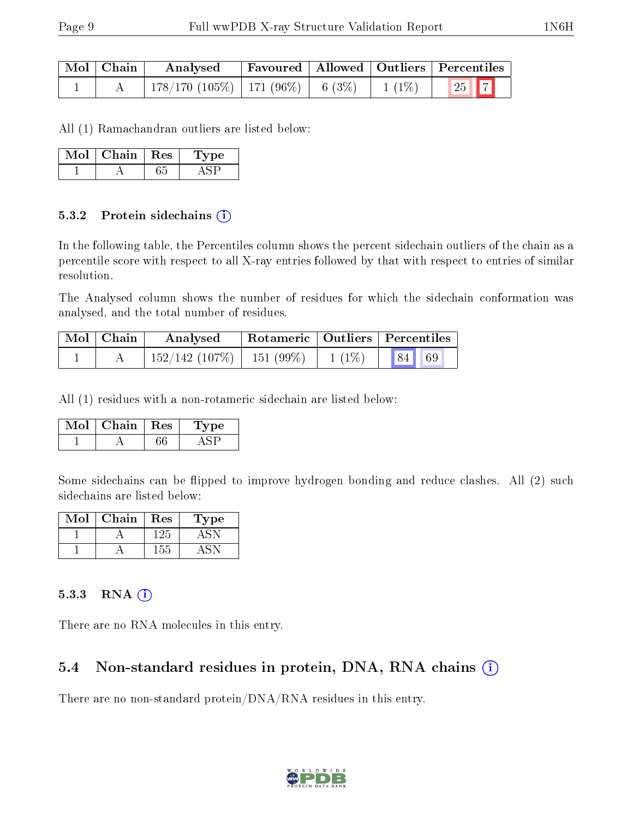| $\mid$ Mol $\mid$ Chain $\mid$ | Analysed                                     |  | Favoured   Allowed   Outliers   Percentiles |
|--------------------------------|----------------------------------------------|--|---------------------------------------------|
|                                | 178/170 (105%)   171 (96%)   6 (3%)   1 (1%) |  | $\boxed{25}$ $\boxed{7}$                    |

All (1) Ramachandran outliers are listed below:

| Mol | Chain | $\pm$ Res $\pm$ | Type |
|-----|-------|-----------------|------|
|     |       |                 |      |

#### 5.3.2 Protein sidechains (i)

In the following table, the Percentiles column shows the percent sidechain outliers of the chain as a percentile score with respect to all X-ray entries followed by that with respect to entries of similar resolution.

The Analysed column shows the number of residues for which the sidechain conformation was analysed, and the total number of residues.

| $Mol$   Chain | Analysed                       |          | Rotameric   Outliers   Percentiles                                           |
|---------------|--------------------------------|----------|------------------------------------------------------------------------------|
|               | $152/142$ (107\%)   151 (99\%) | $1(1\%)$ | $\begin{array}{ c c c c c } \hline \text{84} & \text{69} \hline \end{array}$ |

All (1) residues with a non-rotameric sidechain are listed below:

| Chain | $\perp$ Res | 'De |
|-------|-------------|-----|
|       |             |     |

Some sidechains can be flipped to improve hydrogen bonding and reduce clashes. All (2) such sidechains are listed below:

| Mol | Chain | Res | ype |
|-----|-------|-----|-----|
|     |       | 125 |     |
|     |       | 155 |     |

#### 5.3.3 RNA [O](https://www.wwpdb.org/validation/2017/XrayValidationReportHelp#rna)i

There are no RNA molecules in this entry.

#### 5.4 Non-standard residues in protein, DNA, RNA chains (i)

There are no non-standard protein/DNA/RNA residues in this entry.

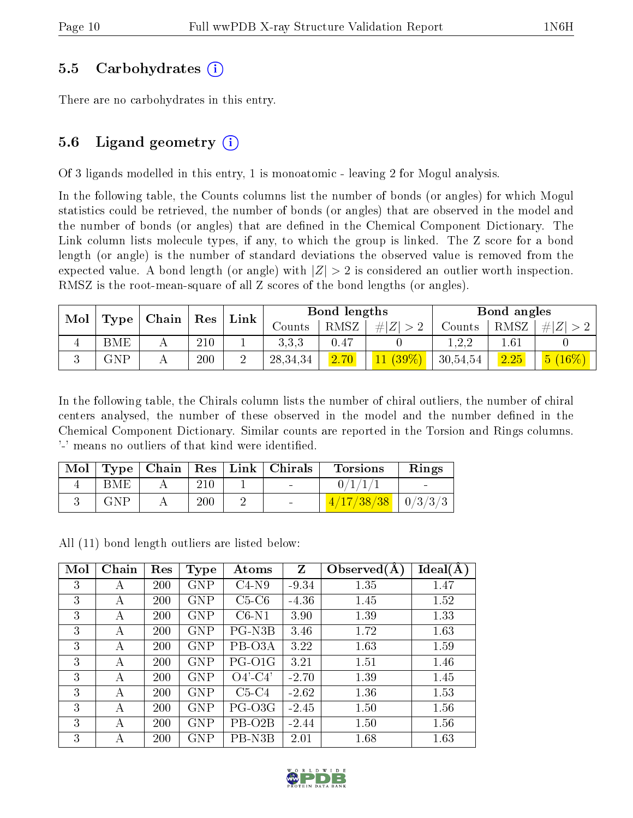#### 5.5 Carbohydrates (i)

There are no carbohydrates in this entry.

### 5.6 Ligand geometry  $(i)$

Of 3 ligands modelled in this entry, 1 is monoatomic - leaving 2 for Mogul analysis.

In the following table, the Counts columns list the number of bonds (or angles) for which Mogul statistics could be retrieved, the number of bonds (or angles) that are observed in the model and the number of bonds (or angles) that are defined in the Chemical Component Dictionary. The Link column lists molecule types, if any, to which the group is linked. The Z score for a bond length (or angle) is the number of standard deviations the observed value is removed from the expected value. A bond length (or angle) with  $|Z| > 2$  is considered an outlier worth inspection. RMSZ is the root-mean-square of all Z scores of the bond lengths (or angles).

| Mol |     |                      |                     |              |            | Bond lengths |            |               | Bond angles |                            |
|-----|-----|----------------------|---------------------|--------------|------------|--------------|------------|---------------|-------------|----------------------------|
|     |     | $\vert$ Type   Chain | $\vert$ Res $\vert$ | ${\rm Link}$ | Counts     | RMSZ         | H Z        | $\rm{Counts}$ | RMSZ        | # Z                        |
|     | BME |                      | 210                 |              | 3.3.3      | 0.47         |            | 1.2.2         | ـ 61،       |                            |
|     | GNP |                      | 200                 |              | 28, 34, 34 | 2.70         | $11(39\%)$ | 30,54,54      | 2.25        | $\vert 5 \ (16\%) \ \vert$ |

In the following table, the Chirals column lists the number of chiral outliers, the number of chiral centers analysed, the number of these observed in the model and the number defined in the Chemical Component Dictionary. Similar counts are reported in the Torsion and Rings columns. '-' means no outliers of that kind were identified.

| Mol |     |         | Type   Chain   Res   Link   Chirals | <b>Torsions</b>         | Rings |
|-----|-----|---------|-------------------------------------|-------------------------|-------|
|     | BME | 210     |                                     | 0/1/1                   |       |
|     | GNP | $200\,$ | $\sim$                              | $(4/17/38/38$   0/3/3/3 |       |

All (11) bond length outliers are listed below:

| Mol | Chain | Res        | <b>Type</b> | Atoms               | Z       | Observed $(A)$ | Ideal(A) |
|-----|-------|------------|-------------|---------------------|---------|----------------|----------|
| 3   | А     | 200        | <b>GNP</b>  | $C4-N9$             | $-9.34$ | 1.35           | 1.47     |
| 3   | А     | 200        | <b>GNP</b>  | $C5-C6$             | $-4.36$ | 1.45           | 1.52     |
| 3   | А     | <b>200</b> | <b>GNP</b>  | $C6-N1$             | 3.90    | 1.39           | 1.33     |
| 3   | А     | 200        | GNP         | PG-N3B              | 3.46    | 1.72           | 1.63     |
| 3   | А     | 200        | <b>GNP</b>  | PB-O3A              | 3.22    | 1.63           | 1.59     |
| 3   | А     | 200        | <b>GNP</b>  | PG-O1G              | 3.21    | 1.51           | 1.46     |
| 3   | А     | 200        | GNP         | $O4'-C4'$           | $-2.70$ | 1.39           | 1.45     |
| 3   | А     | 200        | GNP         | $C5-C4$             | $-2.62$ | 1.36           | 1.53     |
| 3   | А     | 200        | <b>GNP</b>  | PG-O3G              | $-2.45$ | 1.50           | 1.56     |
| 3   | А     | 200        | <b>GNP</b>  | PB-O <sub>2</sub> B | $-2.44$ | 1.50           | 1.56     |
| 3   | А     | 200        | GNP         | PB-N3B              | 2.01    | 1.68           | 1.63     |

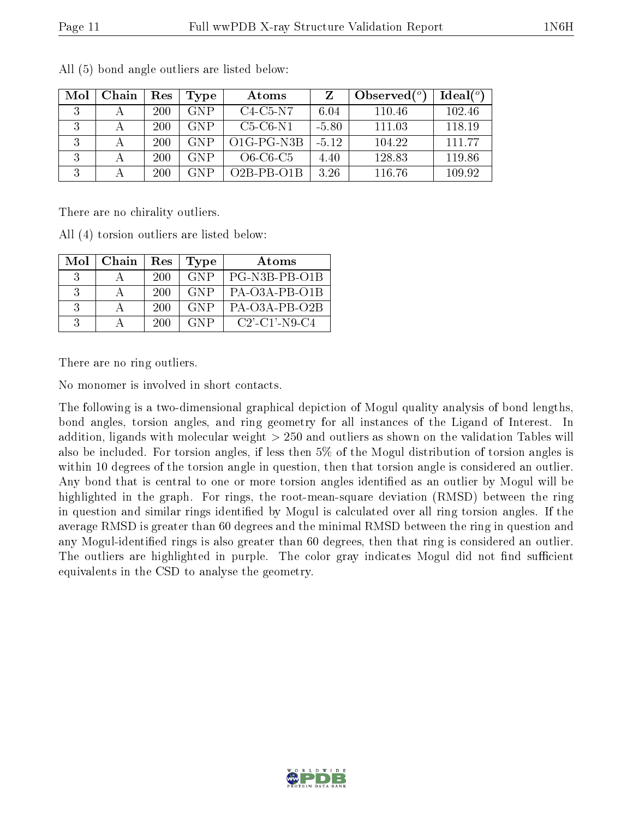| Mol | Chain | Res | Type       | Atoms              |         | Observed $(^\circ)$ | $\text{Ideal}({}^o)$ |
|-----|-------|-----|------------|--------------------|---------|---------------------|----------------------|
|     |       | 200 | <b>GNP</b> | $C4-C5-N7$         | 6.04    | 110.46              | 102.46               |
|     |       | 200 | <b>GNP</b> | $C5-C6-N1$         | $-5.80$ | 111.03              | 118.19               |
| 2   |       | 200 | <b>GNP</b> | $O1G-PG-N3B$       | $-5.12$ | 104.22              | 111 77               |
| 3   |       | 200 | <b>GNP</b> | $O6$ - $C6$ - $C5$ | 4.40    | 128.83              | 119.86               |
| 3   |       | 200 | GNP        | $O2B-PB-O1B$       | 3.26    | 116.76              | 109.92               |

All (5) bond angle outliers are listed below:

There are no chirality outliers.

All (4) torsion outliers are listed below:

| Mol                         | Chain | Res | <b>Type</b> | Atoms            |
|-----------------------------|-------|-----|-------------|------------------|
| $\mathcal{S}_{\mathcal{S}}$ |       | 200 | <b>GNP</b>  | PG-N3B-PB-O1B    |
| $\beta$                     |       | 200 | <b>GNP</b>  | PA-O3A-PB-O1B    |
|                             |       | 200 | GNP.        | PA-O3A-PB-O2B    |
| $\mathcal{S}_{\mathcal{S}}$ |       | 200 | <b>GNP</b>  | $C2'$ -C1'-N9-C4 |

There are no ring outliers.

No monomer is involved in short contacts.

The following is a two-dimensional graphical depiction of Mogul quality analysis of bond lengths, bond angles, torsion angles, and ring geometry for all instances of the Ligand of Interest. In addition, ligands with molecular weight > 250 and outliers as shown on the validation Tables will also be included. For torsion angles, if less then 5% of the Mogul distribution of torsion angles is within 10 degrees of the torsion angle in question, then that torsion angle is considered an outlier. Any bond that is central to one or more torsion angles identified as an outlier by Mogul will be highlighted in the graph. For rings, the root-mean-square deviation (RMSD) between the ring in question and similar rings identified by Mogul is calculated over all ring torsion angles. If the average RMSD is greater than 60 degrees and the minimal RMSD between the ring in question and any Mogul-identified rings is also greater than 60 degrees, then that ring is considered an outlier. The outliers are highlighted in purple. The color gray indicates Mogul did not find sufficient equivalents in the CSD to analyse the geometry.

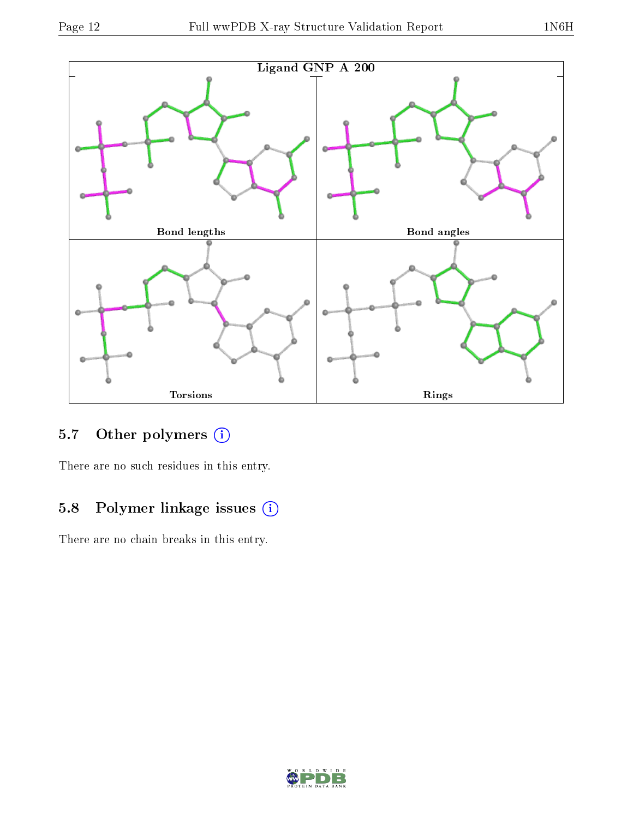

## 5.7 [O](https://www.wwpdb.org/validation/2017/XrayValidationReportHelp#nonstandard_residues_and_ligands)ther polymers (i)

There are no such residues in this entry.

## 5.8 Polymer linkage issues (i)

There are no chain breaks in this entry.

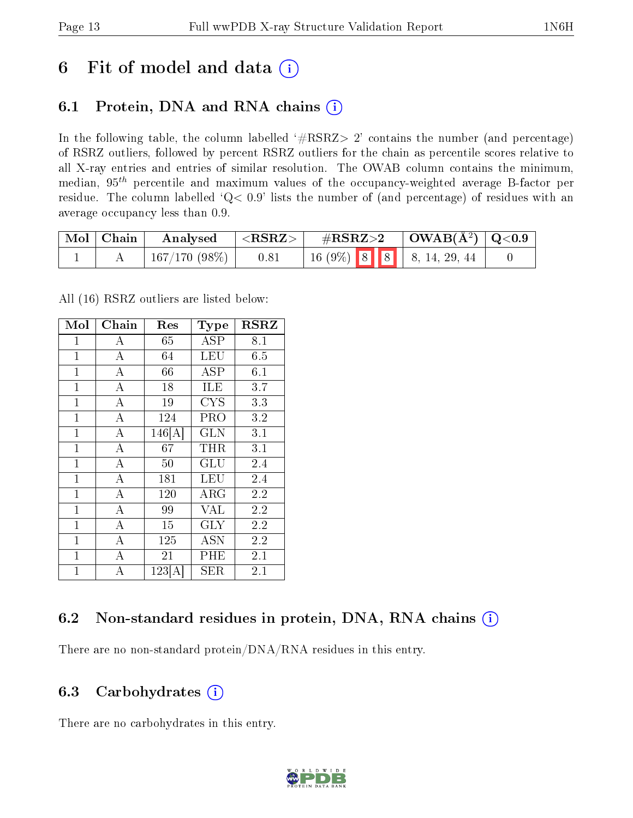## 6 Fit of model and data  $(i)$

## 6.1 Protein, DNA and RNA chains  $(i)$

In the following table, the column labelled  $#RSRZ> 2'$  contains the number (and percentage) of RSRZ outliers, followed by percent RSRZ outliers for the chain as percentile scores relative to all X-ray entries and entries of similar resolution. The OWAB column contains the minimum, median,  $95<sup>th</sup>$  percentile and maximum values of the occupancy-weighted average B-factor per residue. The column labelled ' $Q< 0.9$ ' lists the number of (and percentage) of residues with an average occupancy less than 0.9.

| $\mid$ Mol $\mid$ Chain | Analysed        | $\langle \mathrm{RSRZ}\rangle$ . | $\rm \#RSRZ{>}2$ |  | $\vert$ OWAB( $\rm \AA^2)$ $\vert$ Q<0.9 |                                                                                                       |  |
|-------------------------|-----------------|----------------------------------|------------------|--|------------------------------------------|-------------------------------------------------------------------------------------------------------|--|
|                         | $167/170(98\%)$ | 0.81                             |                  |  |                                          | $\begin{array}{ c c c c c c c c } \hline 16 & 9\% & 8 & 8 & 8 & 4 \ \hline \end{array}$ 8, 14, 29, 44 |  |

All (16) RSRZ outliers are listed below:

| Mol          | Chain              | Res    | <b>Type</b> | <b>RSRZ</b> |  |
|--------------|--------------------|--------|-------------|-------------|--|
| $\mathbf 1$  | $\bf{A}$           | 65     | ASP         | 8.1         |  |
| $\mathbf{1}$ | $\bf{A}$           | 64     | LEU         | 6.5         |  |
| $\mathbf{1}$ | $\overline{\rm A}$ | 66     | ASP         | 6.1         |  |
| $\mathbf{1}$ | $\overline{A}$     | 18     | ILE         | 3.7         |  |
| $\mathbf{1}$ | $\overline{\rm A}$ | 19     | <b>CYS</b>  | 3.3         |  |
| $\mathbf 1$  | $\boldsymbol{A}$   | 124    | PRO         | 3.2         |  |
| $\mathbf{1}$ | $\bf{A}$           | 146[A] | <b>GLN</b>  | 3.1         |  |
| $\mathbf{1}$ | $\overline{A}$     | 67     | $\rm THR$   | 3.1         |  |
| $\mathbf{1}$ | $\overline{\rm A}$ | 50     | GLU         | 2.4         |  |
| $\mathbf{1}$ | $\overline{A}$     | 181    | LEU         | 2.4         |  |
| $\mathbf{1}$ | $\overline{\rm A}$ | 120    | $\rm{ARG}$  | 2.2         |  |
| $\mathbf{1}$ | $\overline{\rm A}$ | 99     | VAL         | 2.2         |  |
| $\mathbf 1$  | $\overline{A}$     | 15     | GLY         | 2.2         |  |
| $\mathbf{1}$ | $\overline{\rm A}$ | 125    | ASN         | 2.2         |  |
| $\mathbf{1}$ | $\boldsymbol{A}$   | 21     | PHE         | 2.1         |  |
| $\mathbf{1}$ | A                  | 123[A] | <b>SER</b>  | 2.1         |  |

### 6.2 Non-standard residues in protein, DNA, RNA chains  $(i)$

There are no non-standard protein/DNA/RNA residues in this entry.

### 6.3 Carbohydrates (i)

There are no carbohydrates in this entry.